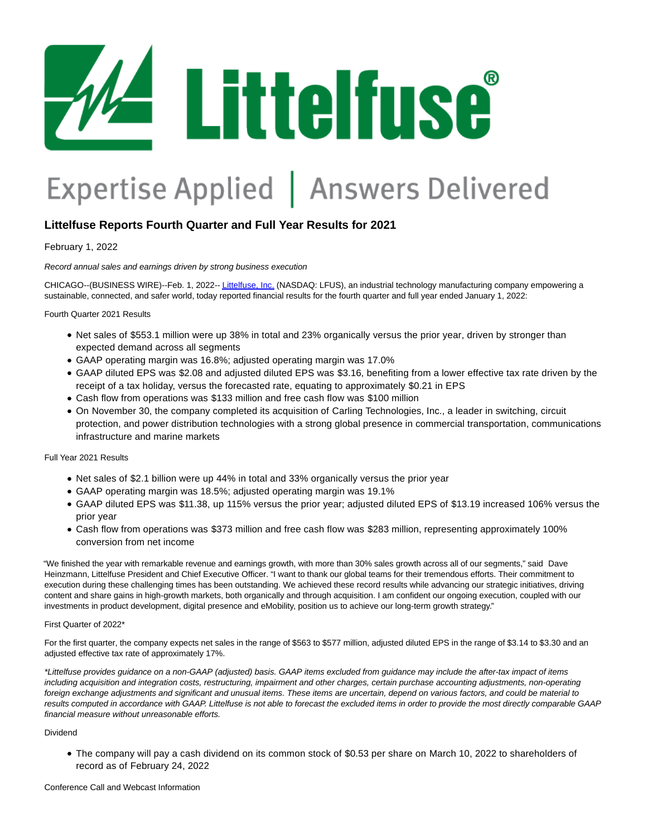

# Expertise Applied | Answers Delivered

# **Littelfuse Reports Fourth Quarter and Full Year Results for 2021**

February 1, 2022

Record annual sales and earnings driven by strong business execution

CHICAGO--(BUSINESS WIRE)--Feb. 1, 2022-[- Littelfuse, Inc. \(](https://cts.businesswire.com/ct/CT?id=smartlink&url=http%3A%2F%2Fwww.littelfuse.com&esheet=52571901&newsitemid=20220201005562&lan=en-US&anchor=Littelfuse%2C+Inc.&index=1&md5=d31830f565a5025eebff0368518c32bd)NASDAQ: LFUS), an industrial technology manufacturing company empowering a sustainable, connected, and safer world, today reported financial results for the fourth quarter and full year ended January 1, 2022:

Fourth Quarter 2021 Results

- Net sales of \$553.1 million were up 38% in total and 23% organically versus the prior year, driven by stronger than expected demand across all segments
- GAAP operating margin was 16.8%; adjusted operating margin was 17.0%
- GAAP diluted EPS was \$2.08 and adjusted diluted EPS was \$3.16, benefiting from a lower effective tax rate driven by the receipt of a tax holiday, versus the forecasted rate, equating to approximately \$0.21 in EPS
- Cash flow from operations was \$133 million and free cash flow was \$100 million
- On November 30, the company completed its acquisition of Carling Technologies, Inc., a leader in switching, circuit protection, and power distribution technologies with a strong global presence in commercial transportation, communications infrastructure and marine markets

Full Year 2021 Results

- Net sales of \$2.1 billion were up 44% in total and 33% organically versus the prior year
- GAAP operating margin was 18.5%; adjusted operating margin was 19.1%
- GAAP diluted EPS was \$11.38, up 115% versus the prior year; adjusted diluted EPS of \$13.19 increased 106% versus the prior year
- Cash flow from operations was \$373 million and free cash flow was \$283 million, representing approximately 100% conversion from net income

"We finished the year with remarkable revenue and earnings growth, with more than 30% sales growth across all of our segments," said Dave Heinzmann, Littelfuse President and Chief Executive Officer. "I want to thank our global teams for their tremendous efforts. Their commitment to execution during these challenging times has been outstanding. We achieved these record results while advancing our strategic initiatives, driving content and share gains in high-growth markets, both organically and through acquisition. I am confident our ongoing execution, coupled with our investments in product development, digital presence and eMobility, position us to achieve our long-term growth strategy."

#### First Quarter of 2022\*

For the first quarter, the company expects net sales in the range of \$563 to \$577 million, adjusted diluted EPS in the range of \$3.14 to \$3.30 and an adjusted effective tax rate of approximately 17%.

\*Littelfuse provides guidance on a non-GAAP (adjusted) basis. GAAP items excluded from guidance may include the after-tax impact of items including acquisition and integration costs, restructuring, impairment and other charges, certain purchase accounting adjustments, non-operating foreign exchange adjustments and significant and unusual items. These items are uncertain, depend on various factors, and could be material to results computed in accordance with GAAP. Littelfuse is not able to forecast the excluded items in order to provide the most directly comparable GAAP financial measure without unreasonable efforts.

#### Dividend

The company will pay a cash dividend on its common stock of \$0.53 per share on March 10, 2022 to shareholders of record as of February 24, 2022

Conference Call and Webcast Information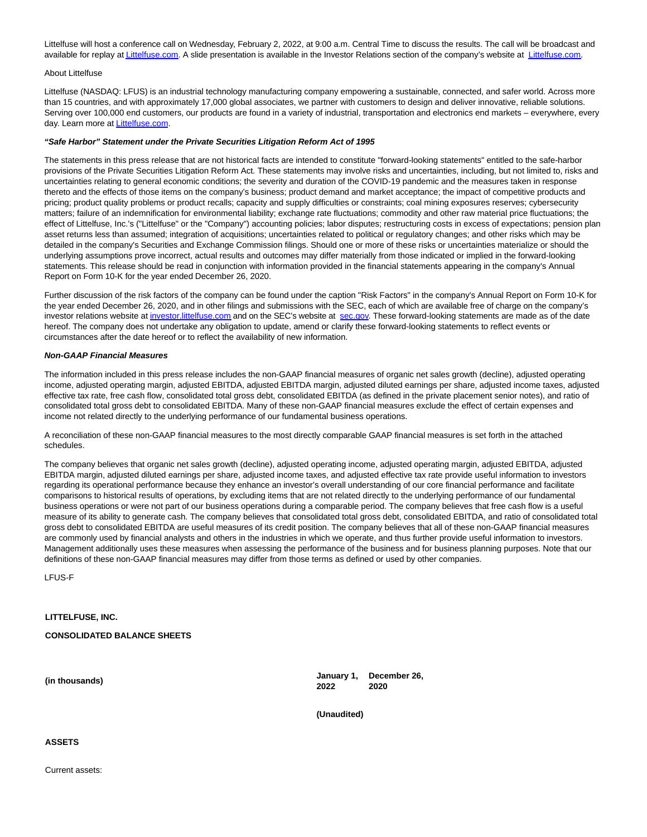Littelfuse will host a conference call on Wednesday, February 2, 2022, at 9:00 a.m. Central Time to discuss the results. The call will be broadcast and available for replay a[t Littelfuse.com.](https://cts.businesswire.com/ct/CT?id=smartlink&url=https%3A%2F%2Finvestor.littelfuse.com%2Fevents-and-presentations&esheet=52571901&newsitemid=20220201005562&lan=en-US&anchor=Littelfuse.com&index=2&md5=1f03d430e36ef10d5b8de425870d804d) A slide presentation is available in the Investor Relations section of the company's website at [Littelfuse.com.](https://cts.businesswire.com/ct/CT?id=smartlink&url=https%3A%2F%2Finvestor.littelfuse.com%2Fevents-and-presentations&esheet=52571901&newsitemid=20220201005562&lan=en-US&anchor=Littelfuse.com&index=3&md5=cad8082dcf5d9a4954e2dc569ec61074)

#### About Littelfuse

Littelfuse (NASDAQ: LFUS) is an industrial technology manufacturing company empowering a sustainable, connected, and safer world. Across more than 15 countries, and with approximately 17,000 global associates, we partner with customers to design and deliver innovative, reliable solutions. Serving over 100,000 end customers, our products are found in a variety of industrial, transportation and electronics end markets – everywhere, every day. Learn more at [Littelfuse.com.](https://cts.businesswire.com/ct/CT?id=smartlink&url=http%3A%2F%2Fwww.littelfuse.com&esheet=52571901&newsitemid=20220201005562&lan=en-US&anchor=Littelfuse.com&index=4&md5=b6be965f7b2c5267544ed45be0439e6d)

#### **"Safe Harbor" Statement under the Private Securities Litigation Reform Act of 1995**

The statements in this press release that are not historical facts are intended to constitute "forward-looking statements" entitled to the safe-harbor provisions of the Private Securities Litigation Reform Act. These statements may involve risks and uncertainties, including, but not limited to, risks and uncertainties relating to general economic conditions; the severity and duration of the COVID-19 pandemic and the measures taken in response thereto and the effects of those items on the company's business; product demand and market acceptance; the impact of competitive products and pricing; product quality problems or product recalls; capacity and supply difficulties or constraints; coal mining exposures reserves; cybersecurity matters; failure of an indemnification for environmental liability; exchange rate fluctuations; commodity and other raw material price fluctuations; the effect of Littelfuse, Inc.'s ("Littelfuse" or the "Company") accounting policies; labor disputes; restructuring costs in excess of expectations; pension plan asset returns less than assumed; integration of acquisitions; uncertainties related to political or regulatory changes; and other risks which may be detailed in the company's Securities and Exchange Commission filings. Should one or more of these risks or uncertainties materialize or should the underlying assumptions prove incorrect, actual results and outcomes may differ materially from those indicated or implied in the forward-looking statements. This release should be read in conjunction with information provided in the financial statements appearing in the company's Annual Report on Form 10-K for the year ended December 26, 2020.

Further discussion of the risk factors of the company can be found under the caption "Risk Factors" in the company's Annual Report on Form 10-K for the year ended December 26, 2020, and in other filings and submissions with the SEC, each of which are available free of charge on the company's investor relations website a[t investor.littelfuse.com a](https://cts.businesswire.com/ct/CT?id=smartlink&url=https%3A%2F%2Finvestor.littelfuse.com%2F&esheet=52571901&newsitemid=20220201005562&lan=en-US&anchor=investor.littelfuse.com&index=5&md5=29bd75994a1aea9cfecc372ef16dbae3)nd on the SEC's website at [sec.gov.](https://cts.businesswire.com/ct/CT?id=smartlink&url=https%3A%2F%2Fwww.sec.gov%2F&esheet=52571901&newsitemid=20220201005562&lan=en-US&anchor=sec.gov&index=6&md5=458fed524ae9d155e18fc964417ecfb6) These forward-looking statements are made as of the date hereof. The company does not undertake any obligation to update, amend or clarify these forward-looking statements to reflect events or circumstances after the date hereof or to reflect the availability of new information.

#### **Non-GAAP Financial Measures**

The information included in this press release includes the non-GAAP financial measures of organic net sales growth (decline), adjusted operating income, adjusted operating margin, adjusted EBITDA, adjusted EBITDA margin, adjusted diluted earnings per share, adjusted income taxes, adjusted effective tax rate, free cash flow, consolidated total gross debt, consolidated EBITDA (as defined in the private placement senior notes), and ratio of consolidated total gross debt to consolidated EBITDA. Many of these non-GAAP financial measures exclude the effect of certain expenses and income not related directly to the underlying performance of our fundamental business operations.

A reconciliation of these non-GAAP financial measures to the most directly comparable GAAP financial measures is set forth in the attached schedules.

The company believes that organic net sales growth (decline), adjusted operating income, adjusted operating margin, adjusted EBITDA, adjusted EBITDA margin, adjusted diluted earnings per share, adjusted income taxes, and adjusted effective tax rate provide useful information to investors regarding its operational performance because they enhance an investor's overall understanding of our core financial performance and facilitate comparisons to historical results of operations, by excluding items that are not related directly to the underlying performance of our fundamental business operations or were not part of our business operations during a comparable period. The company believes that free cash flow is a useful measure of its ability to generate cash. The company believes that consolidated total gross debt, consolidated EBITDA, and ratio of consolidated total gross debt to consolidated EBITDA are useful measures of its credit position. The company believes that all of these non-GAAP financial measures are commonly used by financial analysts and others in the industries in which we operate, and thus further provide useful information to investors. Management additionally uses these measures when assessing the performance of the business and for business planning purposes. Note that our definitions of these non-GAAP financial measures may differ from those terms as defined or used by other companies.

LFUS-F

#### **LITTELFUSE, INC.**

#### **CONSOLIDATED BALANCE SHEETS**

**(in thousands) January 1, 2022 December 26, 2020**

**(Unaudited)**

#### **ASSETS**

Current assets: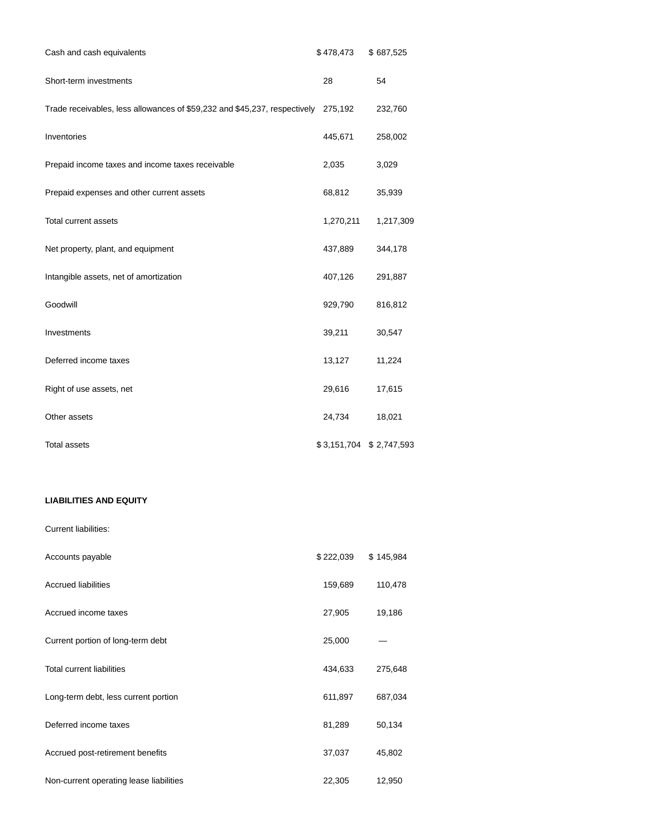| Cash and cash equivalents                                                         | \$478,473 | \$687,525               |
|-----------------------------------------------------------------------------------|-----------|-------------------------|
| Short-term investments                                                            | 28        | 54                      |
| Trade receivables, less allowances of \$59,232 and \$45,237, respectively 275,192 |           | 232,760                 |
| Inventories                                                                       | 445,671   | 258,002                 |
| Prepaid income taxes and income taxes receivable                                  | 2,035     | 3,029                   |
| Prepaid expenses and other current assets                                         | 68,812    | 35,939                  |
| <b>Total current assets</b>                                                       | 1,270,211 | 1,217,309               |
| Net property, plant, and equipment                                                | 437,889   | 344,178                 |
| Intangible assets, net of amortization                                            | 407,126   | 291,887                 |
| Goodwill                                                                          | 929,790   | 816,812                 |
| Investments                                                                       | 39,211    | 30,547                  |
| Deferred income taxes                                                             | 13,127    | 11,224                  |
| Right of use assets, net                                                          | 29,616    | 17,615                  |
| Other assets                                                                      | 24,734    | 18,021                  |
| <b>Total assets</b>                                                               |           | \$3,151,704 \$2,747,593 |

## **LIABILITIES AND EQUITY**

| Accounts payable                        | \$222,039 | \$145,984 |
|-----------------------------------------|-----------|-----------|
| <b>Accrued liabilities</b>              | 159,689   | 110,478   |
| Accrued income taxes                    | 27,905    | 19,186    |
| Current portion of long-term debt       | 25,000    |           |
| <b>Total current liabilities</b>        | 434,633   | 275,648   |
| Long-term debt, less current portion    | 611,897   | 687,034   |
| Deferred income taxes                   | 81,289    | 50,134    |
| Accrued post-retirement benefits        | 37,037    | 45,802    |
| Non-current operating lease liabilities | 22,305    | 12,950    |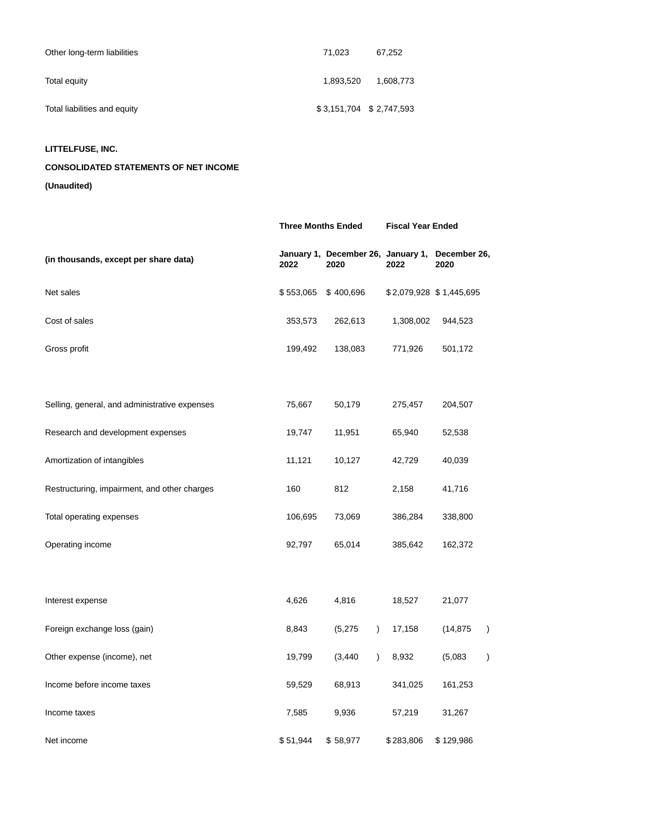| Other long-term liabilities  | 71.023    | 67.252                  |
|------------------------------|-----------|-------------------------|
| Total equity                 | 1.893.520 | 1,608,773               |
| Total liabilities and equity |           | \$3,151,704 \$2,747,593 |

## **LITTELFUSE, INC.**

# **CONSOLIDATED STATEMENTS OF NET INCOME**

**(Unaudited)**

|                                               | <b>Three Months Ended</b> |                       | <b>Fiscal Year Ended</b> |                                                         |  |
|-----------------------------------------------|---------------------------|-----------------------|--------------------------|---------------------------------------------------------|--|
| (in thousands, except per share data)         | 2022                      | 2020                  | 2022                     | January 1, December 26, January 1, December 26,<br>2020 |  |
| Net sales                                     | \$553,065                 | \$400,696             |                          | \$2,079,928 \$1,445,695                                 |  |
| Cost of sales                                 | 353,573                   | 262,613               | 1,308,002                | 944,523                                                 |  |
| Gross profit                                  | 199,492                   | 138,083               | 771,926                  | 501,172                                                 |  |
|                                               |                           |                       |                          |                                                         |  |
| Selling, general, and administrative expenses | 75,667                    | 50,179                | 275,457                  | 204,507                                                 |  |
| Research and development expenses             | 19,747                    | 11,951                | 65,940                   | 52,538                                                  |  |
| Amortization of intangibles                   | 11,121                    | 10,127                | 42,729                   | 40,039                                                  |  |
| Restructuring, impairment, and other charges  | 160                       | 812                   | 2,158                    | 41,716                                                  |  |
| Total operating expenses                      | 106,695                   | 73,069                | 386,284                  | 338,800                                                 |  |
| Operating income                              | 92,797                    | 65,014                | 385,642                  | 162,372                                                 |  |
|                                               |                           |                       |                          |                                                         |  |
| Interest expense                              | 4,626                     | 4,816                 | 18,527                   | 21,077                                                  |  |
| Foreign exchange loss (gain)                  | 8,843                     | (5,275)<br>$\lambda$  | 17,158                   | $\lambda$<br>(14, 875)                                  |  |
| Other expense (income), net                   | 19,799                    | (3, 440)<br>$\lambda$ | 8,932                    | (5,083)<br>$\lambda$                                    |  |
| Income before income taxes                    | 59,529                    | 68,913                | 341,025                  | 161,253                                                 |  |
| Income taxes                                  | 7,585                     | 9,936                 | 57,219                   | 31,267                                                  |  |
| Net income                                    | \$51,944                  | \$58,977              | \$283,806                | \$129,986                                               |  |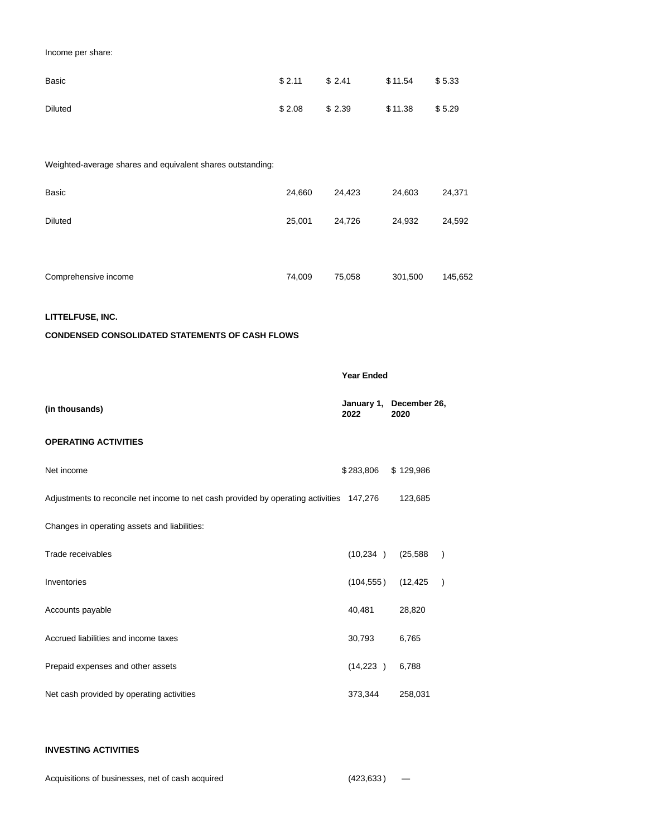Income per share:

| <b>Basic</b>                                               | \$2.11 | \$2.41 | \$11.54 | \$5.33  |  |  |  |
|------------------------------------------------------------|--------|--------|---------|---------|--|--|--|
| <b>Diluted</b>                                             | \$2.08 | \$2.39 | \$11.38 | \$5.29  |  |  |  |
|                                                            |        |        |         |         |  |  |  |
| Weighted-average shares and equivalent shares outstanding: |        |        |         |         |  |  |  |
| <b>Basic</b>                                               | 24,660 | 24,423 | 24,603  | 24,371  |  |  |  |
| <b>Diluted</b>                                             | 25,001 | 24,726 | 24,932  | 24,592  |  |  |  |
|                                                            |        |        |         |         |  |  |  |
| Comprehensive income                                       | 74,009 | 75,058 | 301,500 | 145,652 |  |  |  |
| LITTELFUSE, INC.                                           |        |        |         |         |  |  |  |
| <b>CONDENSED CONSOLIDATED STATEMENTS OF CASH FLOWS</b>     |        |        |         |         |  |  |  |
| <b>Year Ended</b>                                          |        |        |         |         |  |  |  |

# **OPERATING ACTIVITIES**

 $(in$  thousands)

| Net income                                                                               | \$283,806  | \$129,986 |               |
|------------------------------------------------------------------------------------------|------------|-----------|---------------|
| Adjustments to reconcile net income to net cash provided by operating activities 147,276 |            | 123,685   |               |
| Changes in operating assets and liabilities:                                             |            |           |               |
| Trade receivables                                                                        | (10, 234)  | (25, 588) | $\mathcal{E}$ |
| Inventories                                                                              | (104, 555) | (12, 425) | $\mathcal{E}$ |
| Accounts payable                                                                         | 40,481     | 28,820    |               |
| Accrued liabilities and income taxes                                                     | 30,793     | 6,765     |               |
| Prepaid expenses and other assets                                                        | (14,223)   | 6,788     |               |
| Net cash provided by operating activities                                                | 373,344    | 258,031   |               |

## **INVESTING ACTIVITIES**

Acquisitions of businesses, net of cash acquired (423,633) –

**2022**

**December 26, 2020**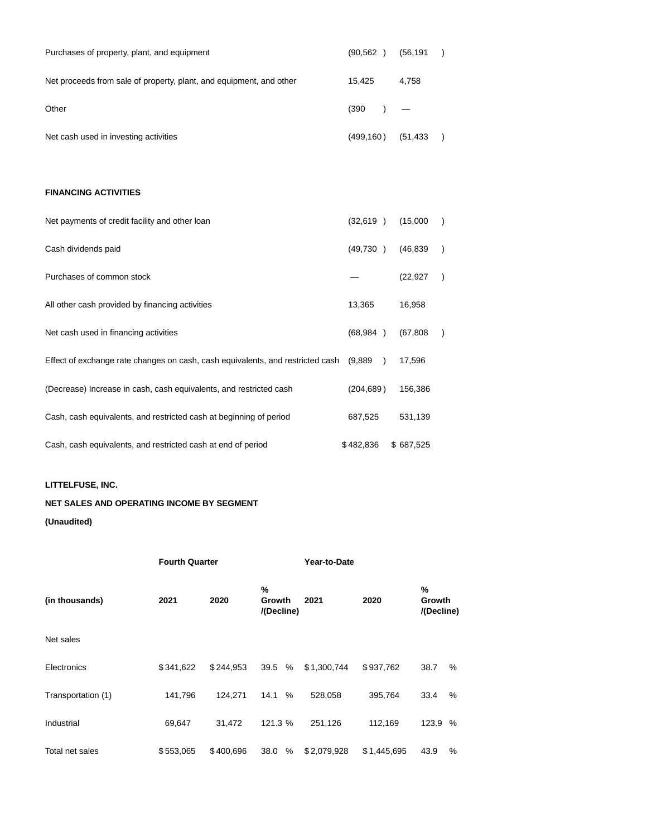| Purchases of property, plant, and equipment                         | (90.562)    | (56, 191) |  |
|---------------------------------------------------------------------|-------------|-----------|--|
| Net proceeds from sale of property, plant, and equipment, and other | 15.425      | 4.758     |  |
| Other                                                               | $(390)$ $-$ |           |  |
| Net cash used in investing activities                               | (499, 160)  | (51,433)  |  |

## **FINANCING ACTIVITIES**

| Net payments of credit facility and other loan                                 | (32, 619)  | (15,000)  |  |
|--------------------------------------------------------------------------------|------------|-----------|--|
| Cash dividends paid                                                            | (49,730)   | (46, 839) |  |
| Purchases of common stock                                                      |            | (22, 927) |  |
| All other cash provided by financing activities                                | 13,365     | 16,958    |  |
| Net cash used in financing activities                                          | (68, 984)  | (67, 808) |  |
| Effect of exchange rate changes on cash, cash equivalents, and restricted cash | (9,889     | 17,596    |  |
| (Decrease) Increase in cash, cash equivalents, and restricted cash             | (204, 689) | 156,386   |  |
| Cash, cash equivalents, and restricted cash at beginning of period             | 687,525    | 531,139   |  |
| Cash, cash equivalents, and restricted cash at end of period                   | \$482,836  | \$687,525 |  |

## **LITTELFUSE, INC.**

# **NET SALES AND OPERATING INCOME BY SEGMENT**

#### **(Unaudited)**

|                    | <b>Fourth Quarter</b> |           |           | Year-to-Date       |             |                           |   |  |
|--------------------|-----------------------|-----------|-----------|--------------------|-------------|---------------------------|---|--|
| (in thousands)     | 2021                  | 2020      |           | 2021<br>/(Decline) | 2020        | %<br>Growth<br>/(Decline) |   |  |
| Net sales          |                       |           |           |                    |             |                           |   |  |
| Electronics        | \$341,622             | \$244.953 | 39.5<br>% | \$1,300,744        | \$937,762   | 38.7                      | % |  |
| Transportation (1) | 141,796               | 124,271   | 14.1<br>% | 528,058            | 395,764     | 33.4                      | % |  |
| Industrial         | 69,647                | 31,472    | 121.3 %   | 251,126            | 112,169     | 123.9 %                   |   |  |
| Total net sales    | \$553,065             | \$400.696 | 38.0<br>% | \$2,079,928        | \$1,445,695 | 43.9                      | % |  |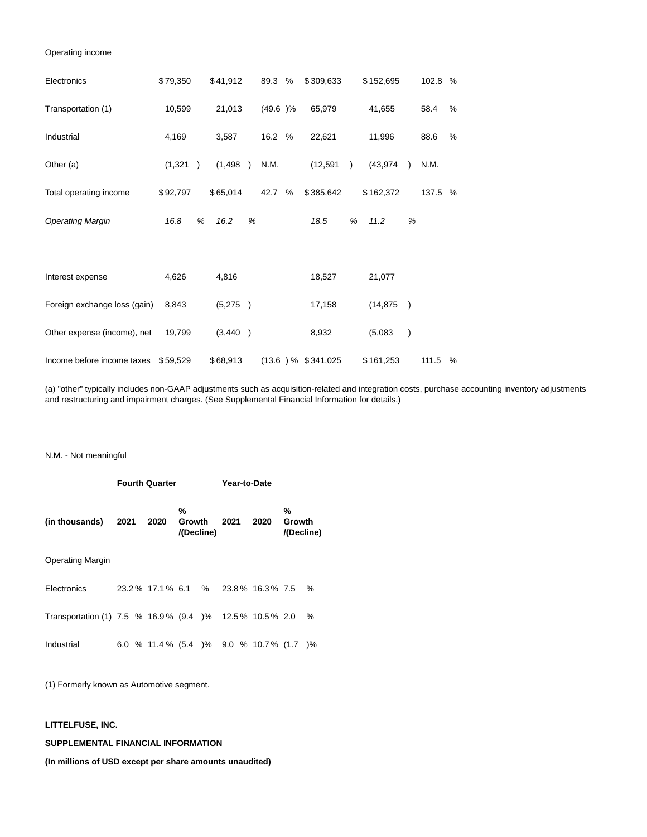#### Operating income

| Electronics                         | \$79,350 |               | \$41,912 |   | 89.3    | % | \$309,633            |           | \$152,695 |               | 102.8 % |   |
|-------------------------------------|----------|---------------|----------|---|---------|---|----------------------|-----------|-----------|---------------|---------|---|
| Transportation (1)                  | 10,599   |               | 21,013   |   | (49.6)% |   | 65,979               |           | 41,655    |               | 58.4    | % |
| Industrial                          | 4,169    |               | 3,587    |   | 16.2 %  |   | 22,621               |           | 11,996    |               | 88.6    | % |
| Other (a)                           | (1, 321) | $\rightarrow$ | (1,498)  |   | N.M.    |   | (12, 591)            | $\lambda$ | (43, 974) |               | N.M.    |   |
| Total operating income              | \$92,797 |               | \$65,014 |   | 42.7    | % | \$385,642            |           | \$162,372 |               | 137.5 % |   |
| <b>Operating Margin</b>             | 16.8     | %             | 16.2     | % |         |   | 18.5                 | %         | 11.2      | %             |         |   |
|                                     |          |               |          |   |         |   |                      |           |           |               |         |   |
| Interest expense                    | 4,626    |               | 4,816    |   |         |   | 18,527               |           | 21,077    |               |         |   |
| Foreign exchange loss (gain)        | 8,843    |               | (5,275)  |   |         |   | 17,158               |           | (14, 875) | $\rightarrow$ |         |   |
| Other expense (income), net         | 19,799   |               | (3,440)  |   |         |   | 8,932                |           | (5,083)   | $\lambda$     |         |   |
| Income before income taxes \$59,529 |          |               | \$68,913 |   |         |   | $(13.6)$ % \$341,025 |           | \$161,253 |               | 111.5   | % |

(a) "other" typically includes non-GAAP adjustments such as acquisition-related and integration costs, purchase accounting inventory adjustments and restructuring and impairment charges. (See Supplemental Financial Information for details.)

#### N.M. - Not meaningful

|                                                        | <b>Fourth Quarter</b> |  |                                             |                                  |  | Year-to-Date |  |      |                           |      |
|--------------------------------------------------------|-----------------------|--|---------------------------------------------|----------------------------------|--|--------------|--|------|---------------------------|------|
| (in thousands)                                         | 2021                  |  | 2020                                        | %<br><b>Growth</b><br>/(Decline) |  | 2021         |  | 2020 | %<br>Growth<br>/(Decline) |      |
| <b>Operating Margin</b>                                |                       |  |                                             |                                  |  |              |  |      |                           |      |
| Electronics                                            |                       |  | 23.2 % 17.1 % 6.1 % 23.8 % 16.3 % 7.5       |                                  |  |              |  |      |                           | $\%$ |
| Transportation (1) 7.5 % 16.9% (9.4 )% 12.5% 10.5% 2.0 |                       |  |                                             |                                  |  |              |  |      |                           | %    |
| Industrial                                             |                       |  | 6.0 % 11.4 % (5.4 ) % 9.0 % 10.7 % (1.7 ) % |                                  |  |              |  |      |                           |      |

(1) Formerly known as Automotive segment.

#### **LITTELFUSE, INC.**

## **SUPPLEMENTAL FINANCIAL INFORMATION**

**(In millions of USD except per share amounts unaudited)**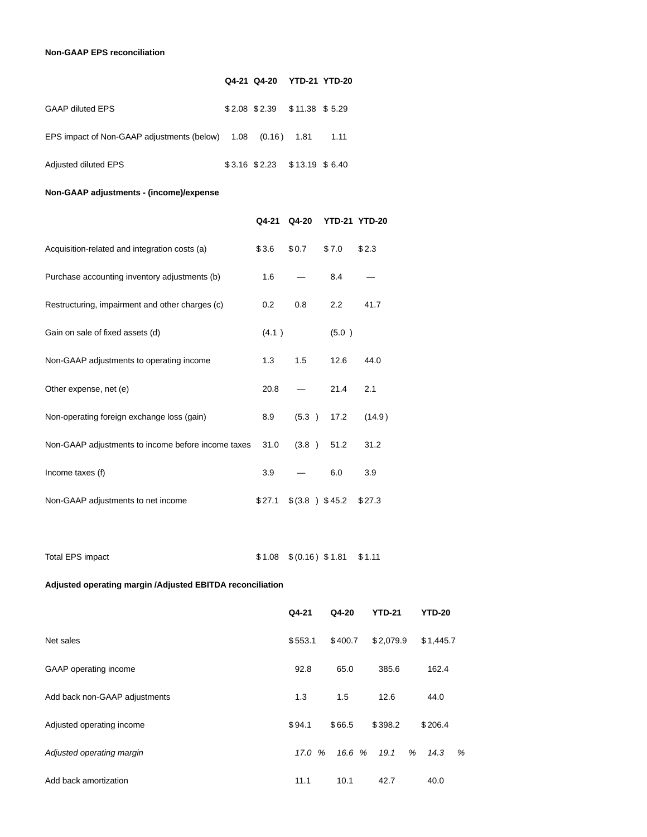## **Non-GAAP EPS reconciliation**

|                                                             | Q4-21 Q4-20 YTD-21 YTD-20        |      |
|-------------------------------------------------------------|----------------------------------|------|
| <b>GAAP diluted EPS</b>                                     | $$2.08$ $$2.39$ $$11.38$ $$5.29$ |      |
| EPS impact of Non-GAAP adjustments (below) 1.08 (0.16) 1.81 |                                  | 1.11 |
| Adjusted diluted EPS                                        | $$3.16$ $$2.23$ $$13.19$ $$6.40$ |      |

## **Non-GAAP adjustments - (income)/expense**

|                                                    | Q4-21  | Q4-20 | <b>YTD-21 YTD-20</b> |        |
|----------------------------------------------------|--------|-------|----------------------|--------|
| Acquisition-related and integration costs (a)      | \$3.6  | \$0.7 | \$7.0                | \$2.3  |
| Purchase accounting inventory adjustments (b)      | 1.6    |       | 8.4                  |        |
| Restructuring, impairment and other charges (c)    | 0.2    | 0.8   | $2.2^{\circ}$        | 41.7   |
| Gain on sale of fixed assets (d)                   | (4.1)  |       | (5.0)                |        |
| Non-GAAP adjustments to operating income           | 1.3    | 1.5   | 12.6                 | 44.0   |
| Other expense, net (e)                             | 20.8   |       | 21.4                 | 2.1    |
| Non-operating foreign exchange loss (gain)         | 8.9    | (5.3) | 17.2                 | (14.9) |
| Non-GAAP adjustments to income before income taxes | 31.0   | (3.8) | 51.2                 | 31.2   |
| Income taxes (f)                                   | 3.9    |       | 6.0                  | 3.9    |
| Non-GAAP adjustments to net income                 | \$27.1 |       | \$ (3.8) \$45.2      | \$27.3 |

Total EPS impact \$ 1.08 \$ (0.16) \$ 1.81 \$ 1.11

## **Adjusted operating margin /Adjusted EBITDA reconciliation**

|                               | Q4-21     | $Q4-20$ | <b>YTD-21</b> | <b>YTD-20</b>         |
|-------------------------------|-----------|---------|---------------|-----------------------|
| Net sales                     | \$553.1   | \$400.7 | \$2,079.9     | \$1,445.7             |
| GAAP operating income         | 92.8      | 65.0    | 385.6         | 162.4                 |
| Add back non-GAAP adjustments | 1.3       | 1.5     | 12.6          | 44.0                  |
| Adjusted operating income     | \$94.1    | \$66.5  | \$398.2       | \$206.4               |
| Adjusted operating margin     | 17.0<br>% | 16.6%   | 19.1<br>%     | $\frac{9}{6}$<br>14.3 |
| Add back amortization         | 11.1      | 10.1    | 42.7          | 40.0                  |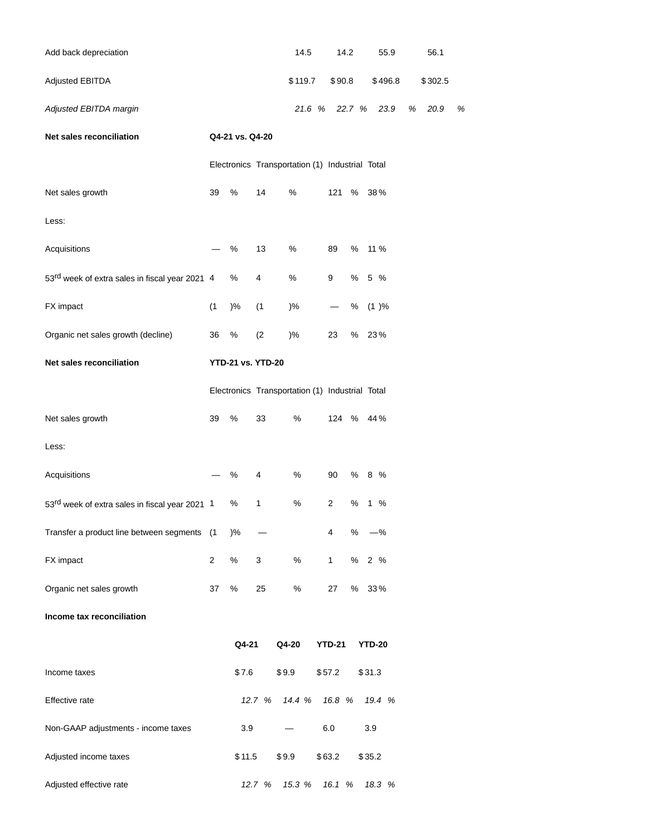| Add back depreciation                                      |                                                 |                 |                          | 14.5                                            |                          | 14.2   | 55.9            |  | 56.1      |      |  |
|------------------------------------------------------------|-------------------------------------------------|-----------------|--------------------------|-------------------------------------------------|--------------------------|--------|-----------------|--|-----------|------|--|
| Adjusted EBITDA                                            |                                                 |                 |                          | \$119.7                                         |                          | \$90.8 | \$496.8         |  | \$302.5   |      |  |
| Adjusted EBITDA margin                                     |                                                 |                 |                          | 21.6 %                                          |                          |        | 22.7 % 23.9     |  | 20.9<br>% | $\%$ |  |
| Net sales reconciliation                                   |                                                 | Q4-21 vs. Q4-20 |                          |                                                 |                          |        |                 |  |           |      |  |
|                                                            | Electronics Transportation (1) Industrial Total |                 |                          |                                                 |                          |        |                 |  |           |      |  |
| Net sales growth                                           | 39                                              | $\%$            | 14                       | $\%$                                            | 121                      | %      | 38%             |  |           |      |  |
| Less:                                                      |                                                 |                 |                          |                                                 |                          |        |                 |  |           |      |  |
| Acquisitions                                               |                                                 | $\%$            | 13                       | $\%$                                            | 89                       | %      | 11 %            |  |           |      |  |
| 53 <sup>rd</sup> week of extra sales in fiscal year 2021 4 |                                                 | $\%$            | 4                        | $\%$                                            | 9                        | $\%$   | 5 %             |  |           |      |  |
| FX impact                                                  | (1)                                             | )%              | (1)                      | )%                                              | $\overline{\phantom{0}}$ | %      | (1)%            |  |           |      |  |
| Organic net sales growth (decline)                         | 36                                              | $\%$            | (2)                      | $)$ %                                           | 23                       | $\%$   | 23%             |  |           |      |  |
| Net sales reconciliation                                   |                                                 |                 | <b>YTD-21 vs. YTD-20</b> |                                                 |                          |        |                 |  |           |      |  |
|                                                            |                                                 |                 |                          | Electronics Transportation (1) Industrial Total |                          |        |                 |  |           |      |  |
| Net sales growth                                           | 39                                              | $\%$            | 33                       | %                                               |                          |        | 124 % 44%       |  |           |      |  |
| Less:                                                      |                                                 |                 |                          |                                                 |                          |        |                 |  |           |      |  |
| Acquisitions                                               |                                                 | $\%$            | 4                        | %                                               | 90                       | %      | 8 %             |  |           |      |  |
| 53 <sup>rd</sup> week of extra sales in fiscal year 2021 1 |                                                 | $\%$            | 1                        | $\%$                                            | $\overline{\mathbf{c}}$  | $\%$   | $1 \frac{9}{6}$ |  |           |      |  |
| Transfer a product line between segments (1                |                                                 | )%              |                          |                                                 | 4                        | %      | $-$ %           |  |           |      |  |
| FX impact                                                  | $\overline{c}$                                  | $\%$            | 3                        | $\%$                                            | $\mathbf{1}$             |        | % 2 %           |  |           |      |  |
| Organic net sales growth                                   | 37                                              | $\%$            | 25                       | $\%$                                            | 27                       | $\%$   | 33%             |  |           |      |  |
| Income tax reconciliation                                  |                                                 |                 |                          |                                                 |                          |        |                 |  |           |      |  |
|                                                            |                                                 | Q4-21           |                          | Q4-20                                           | <b>YTD-21</b>            |        | <b>YTD-20</b>   |  |           |      |  |
| Income taxes                                               |                                                 | \$7.6           |                          | \$9.9                                           | \$57.2                   |        | \$31.3          |  |           |      |  |
| Effective rate                                             |                                                 |                 | 12.7 %                   | 14.4 %                                          | 16.8 %                   |        | 19.4 %          |  |           |      |  |
| Non-GAAP adjustments - income taxes                        |                                                 | 3.9             |                          |                                                 | $6.0\,$                  |        | 3.9             |  |           |      |  |
| Adjusted income taxes                                      |                                                 | \$11.5          |                          | \$9.9                                           | \$63.2                   |        | \$35.2          |  |           |      |  |
| Adjusted effective rate                                    |                                                 |                 | 12.7 %                   | 15.3 %                                          | 16.1 %                   |        | 18.3 %          |  |           |      |  |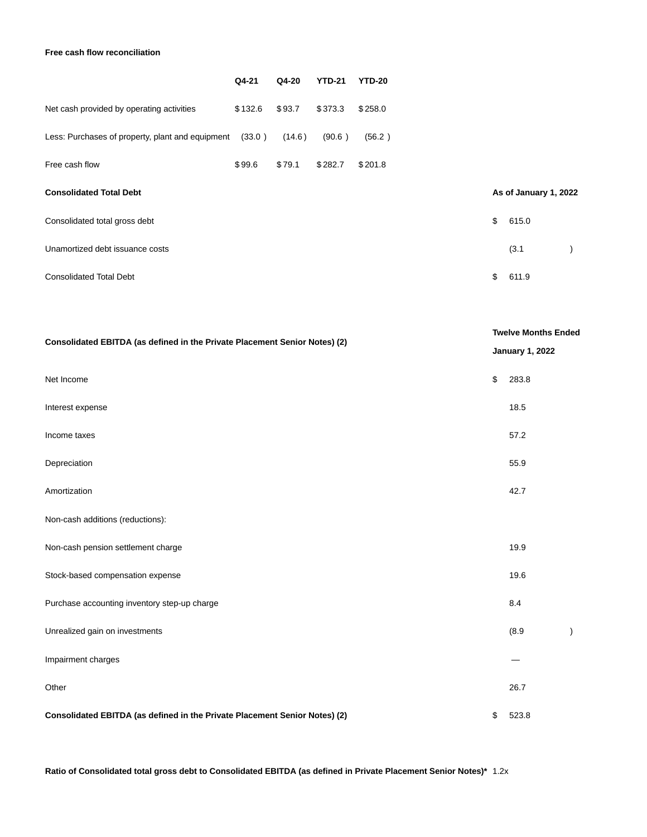## **Free cash flow reconciliation**

|                                                  | Q4-21   | Q4-20  | <b>YTD-21</b> | <b>YTD-20</b> |    |                       |  |
|--------------------------------------------------|---------|--------|---------------|---------------|----|-----------------------|--|
| Net cash provided by operating activities        | \$132.6 | \$93.7 | \$373.3       | \$258.0       |    |                       |  |
| Less: Purchases of property, plant and equipment | (33.0)  | (14.6) | (90.6)        | (56.2)        |    |                       |  |
| Free cash flow                                   | \$99.6  | \$79.1 | \$282.7       | \$201.8       |    |                       |  |
| <b>Consolidated Total Debt</b>                   |         |        |               |               |    | As of January 1, 2022 |  |
| Consolidated total gross debt                    |         |        |               |               | \$ | 615.0                 |  |
| Unamortized debt issuance costs                  |         |        |               |               |    | (3.1)                 |  |
| <b>Consolidated Total Debt</b>                   |         |        |               |               | \$ | 611.9                 |  |

| Consolidated EBITDA (as defined in the Private Placement Senior Notes) (2) | <b>Twelve Months Ended</b><br><b>January 1, 2022</b> |       |           |
|----------------------------------------------------------------------------|------------------------------------------------------|-------|-----------|
| Net Income                                                                 | \$                                                   | 283.8 |           |
| Interest expense                                                           |                                                      | 18.5  |           |
| Income taxes                                                               |                                                      | 57.2  |           |
| Depreciation                                                               |                                                      | 55.9  |           |
| Amortization                                                               |                                                      | 42.7  |           |
| Non-cash additions (reductions):                                           |                                                      |       |           |
| Non-cash pension settlement charge                                         |                                                      | 19.9  |           |
| Stock-based compensation expense                                           |                                                      | 19.6  |           |
| Purchase accounting inventory step-up charge                               |                                                      | 8.4   |           |
| Unrealized gain on investments                                             |                                                      | (8.9) | $\lambda$ |
| Impairment charges                                                         |                                                      |       |           |
| Other                                                                      |                                                      | 26.7  |           |
| Consolidated EBITDA (as defined in the Private Placement Senior Notes) (2) | \$                                                   | 523.8 |           |

**Ratio of Consolidated total gross debt to Consolidated EBITDA (as defined in Private Placement Senior Notes)\*** 1.2x